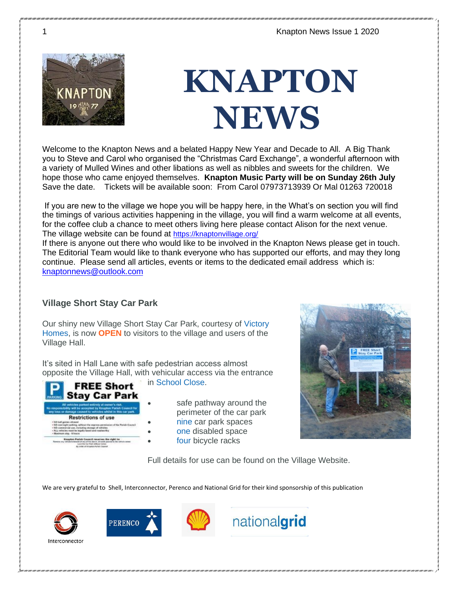

## **KNAPTON NEWS**

Welcome to the Knapton News and a belated Happy New Year and Decade to All. A Big Thank you to Steve and Carol who organised the "Christmas Card Exchange", a wonderful afternoon with a variety of Mulled Wines and other libations as well as nibbles and sweets for the children. We hope those who came enjoyed themselves. **Knapton Music Party will be on Sunday 26th July** Save the date. Tickets will be available soon: From Carol 07973713939 Or Mal 01263 720018

If you are new to the village we hope you will be happy here, in the What's on section you will find the timings of various activities happening in the village, you will find a warm welcome at all events, for the coffee club a chance to meet others living here please contact Alison for the next venue. The village website can be found at <https://knaptonvillage.org/>

If there is anyone out there who would like to be involved in the Knapton News please get in touch. The Editorial Team would like to thank everyone who has supported our efforts, and may they long continue. Please send all articles, events or items to the dedicated email address which is: [knaptonnews@outlook.com](mailto:knaptonnews@outlook.com)

### **Village Short Stay Car Park**

Our shiny new Village Short Stay Car Park, courtesy of Victory Homes, is now **OPEN** to visitors to the village and users of the Village Hall.

It's sited in Hall Lane with safe pedestrian access almost opposite the Village Hall, with vehicular access via the entrance



in School Close.

safe pathway around the perimeter of the car park • nine car park spaces

- one disabled space
- four bicycle racks



Full details for use can be found on the Village Website.

We are very grateful to Shell, Interconnector, Perenco and National Grid for their kind sponsorship of this publication







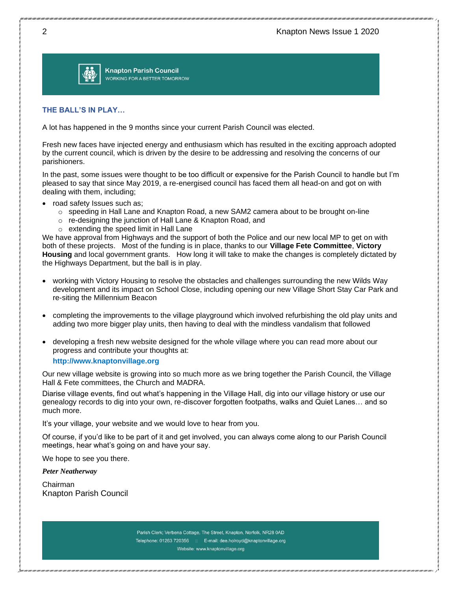

**Knapton Parish Council** WORKING FOR A BETTER TOMORROW

#### **THE BALL'S IN PLAY…**

A lot has happened in the 9 months since your current Parish Council was elected.

Fresh new faces have injected energy and enthusiasm which has resulted in the exciting approach adopted by the current council, which is driven by the desire to be addressing and resolving the concerns of our parishioners.

In the past, some issues were thought to be too difficult or expensive for the Parish Council to handle but I'm pleased to say that since May 2019, a re-energised council has faced them all head-on and got on with dealing with them, including;

- road safety Issues such as;
	- $\circ$  speeding in Hall Lane and Knapton Road, a new SAM2 camera about to be brought on-line
	- o re-designing the junction of Hall Lane & Knapton Road, and
	- o extending the speed limit in Hall Lane

We have approval from Highways and the support of both the Police and our new local MP to get on with both of these projects. Most of the funding is in place, thanks to our **Village Fete Committee**, **Victory Housing** and local government grants. How long it will take to make the changes is completely dictated by the Highways Department, but the ball is in play.

- working with Victory Housing to resolve the obstacles and challenges surrounding the new Wilds Way development and its impact on School Close, including opening our new Village Short Stay Car Park and re-siting the Millennium Beacon
- completing the improvements to the village playground which involved refurbishing the old play units and adding two more bigger play units, then having to deal with the mindless vandalism that followed
- developing a fresh new website designed for the whole village where you can read more about our progress and contribute your thoughts at:

#### **http://www.knaptonvillage.org**

Our new village website is growing into so much more as we bring together the Parish Council, the Village Hall & Fete committees, the Church and MADRA.

Diarise village events, find out what's happening in the Village Hall, dig into our village history or use our genealogy records to dig into your own, re-discover forgotten footpaths, walks and Quiet Lanes… and so much more.

It's your village, your website and we would love to hear from you.

Of course, if you'd like to be part of it and get involved, you can always come along to our Parish Council meetings, hear what's going on and have your say.

We hope to see you there.

*Peter Neatherway*

Chairman Knapton Parish Council

> Parish Clerk; Verbena Cottage, The Street, Knapton, Norfolk, NR28 0AD Telephone: 01263 720356 :: E-mail: dee.holroyd@knaptonvillage.org Website: www.knaptonvillage.org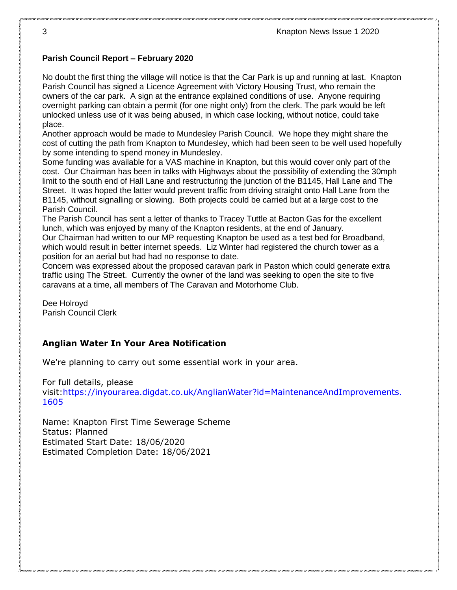### **Parish Council Report – February 2020**

No doubt the first thing the village will notice is that the Car Park is up and running at last. Knapton Parish Council has signed a Licence Agreement with Victory Housing Trust, who remain the owners of the car park. A sign at the entrance explained conditions of use. Anyone requiring overnight parking can obtain a permit (for one night only) from the clerk. The park would be left unlocked unless use of it was being abused, in which case locking, without notice, could take place.

Another approach would be made to Mundesley Parish Council. We hope they might share the cost of cutting the path from Knapton to Mundesley, which had been seen to be well used hopefully by some intending to spend money in Mundesley.

Some funding was available for a VAS machine in Knapton, but this would cover only part of the cost. Our Chairman has been in talks with Highways about the possibility of extending the 30mph limit to the south end of Hall Lane and restructuring the junction of the B1145, Hall Lane and The Street. It was hoped the latter would prevent traffic from driving straight onto Hall Lane from the B1145, without signalling or slowing. Both projects could be carried but at a large cost to the Parish Council.

The Parish Council has sent a letter of thanks to Tracey Tuttle at Bacton Gas for the excellent lunch, which was enjoyed by many of the Knapton residents, at the end of January.

Our Chairman had written to our MP requesting Knapton be used as a test bed for Broadband, which would result in better internet speeds. Liz Winter had registered the church tower as a position for an aerial but had had no response to date.

Concern was expressed about the proposed caravan park in Paston which could generate extra traffic using The Street. Currently the owner of the land was seeking to open the site to five caravans at a time, all members of The Caravan and Motorhome Club.

Dee Holroyd Parish Council Clerk

### **Anglian Water In Your Area Notification**

We're planning to carry out some essential work in your area.

For full details, please visit[:https://inyourarea.digdat.co.uk/AnglianWater?id=MaintenanceAndImprovements.](https://inyourarea.digdat.co.uk/AnglianWater?id=MaintenanceAndImprovements.1605) [1605](https://inyourarea.digdat.co.uk/AnglianWater?id=MaintenanceAndImprovements.1605)

Name: Knapton First Time Sewerage Scheme Status: Planned Estimated Start Date: 18/06/2020 Estimated Completion Date: 18/06/2021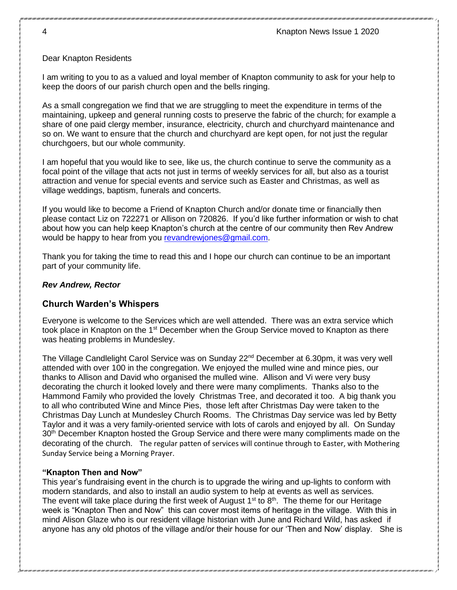### Dear Knapton Residents

I am writing to you to as a valued and loyal member of Knapton community to ask for your help to keep the doors of our parish church open and the bells ringing.

As a small congregation we find that we are struggling to meet the expenditure in terms of the maintaining, upkeep and general running costs to preserve the fabric of the church; for example a share of one paid clergy member, insurance, electricity, church and churchyard maintenance and so on. We want to ensure that the church and churchyard are kept open, for not just the regular churchgoers, but our whole community.

I am hopeful that you would like to see, like us, the church continue to serve the community as a focal point of the village that acts not just in terms of weekly services for all, but also as a tourist attraction and venue for special events and service such as Easter and Christmas, as well as village weddings, baptism, funerals and concerts.

If you would like to become a Friend of Knapton Church and/or donate time or financially then please contact Liz on 722271 or Allison on 720826. If you'd like further information or wish to chat about how you can help keep Knapton's church at the centre of our community then Rev Andrew would be happy to hear from you [revandrewjones@gmail.com.](mailto:revandrewjones@gmail.com)

Thank you for taking the time to read this and I hope our church can continue to be an important part of your community life.

### *Rev Andrew, Rector*

### **Church Warden's Whispers**

Everyone is welcome to the Services which are well attended. There was an extra service which took place in Knapton on the 1<sup>st</sup> December when the Group Service moved to Knapton as there was heating problems in Mundesley.

The Village Candlelight Carol Service was on Sunday 22<sup>nd</sup> December at 6.30pm, it was very well attended with over 100 in the congregation. We enjoyed the mulled wine and mince pies, our thanks to Allison and David who organised the mulled wine. Allison and Vi were very busy decorating the church it looked lovely and there were many compliments. Thanks also to the Hammond Family who provided the lovely Christmas Tree, and decorated it too. A big thank you to all who contributed Wine and Mince Pies, those left after Christmas Day were taken to the Christmas Day Lunch at Mundesley Church Rooms. The Christmas Day service was led by Betty Taylor and it was a very family-oriented service with lots of carols and enjoyed by all. On Sunday 30<sup>th</sup> December Knapton hosted the Group Service and there were many compliments made on the decorating of the church. The regular patten of services will continue through to Easter, with Mothering Sunday Service being a Morning Prayer.

### **"Knapton Then and Now"**

This year's fundraising event in the church is to upgrade the wiring and up-lights to conform with modern standards, and also to install an audio system to help at events as well as services. The event will take place during the first week of August  $1<sup>st</sup>$  to  $8<sup>th</sup>$ . The theme for our Heritage week is "Knapton Then and Now" this can cover most items of heritage in the village. With this in mind Alison Glaze who is our resident village historian with June and Richard Wild, has asked if anyone has any old photos of the village and/or their house for our 'Then and Now' display. She is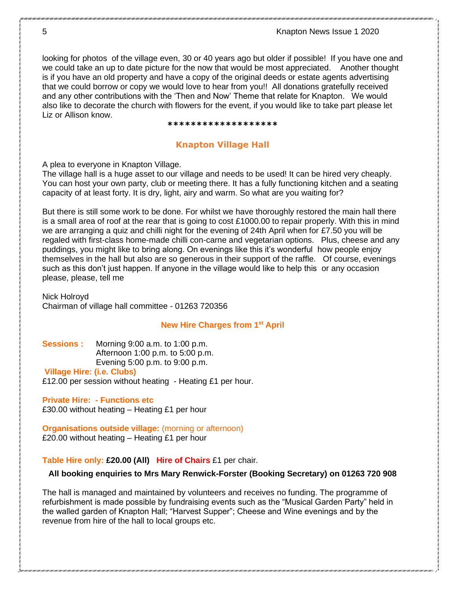5 Knapton News Issue 1 2020

looking for photos of the village even, 30 or 40 years ago but older if possible! If you have one and we could take an up to date picture for the now that would be most appreciated. Another thought is if you have an old property and have a copy of the original deeds or estate agents advertising that we could borrow or copy we would love to hear from you!! All donations gratefully received and any other contributions with the 'Then and Now' Theme that relate for Knapton. We would also like to decorate the church with flowers for the event, if you would like to take part please let Liz or Allison know.

#### **\*\*\*\*\*\*\*\*\*\*\*\*\*\*\*\*\*\*\***

### **Knapton Village Hall**

A plea to everyone in Knapton Village.

The village hall is a huge asset to our village and needs to be used! It can be hired very cheaply. You can host your own party, club or meeting there. It has a fully functioning kitchen and a seating capacity of at least forty. It is dry, light, airy and warm. So what are you waiting for?

But there is still some work to be done. For whilst we have thoroughly restored the main hall there is a small area of roof at the rear that is going to cost £1000.00 to repair properly. With this in mind we are arranging a quiz and chilli night for the evening of 24th April when for £7.50 you will be regaled with first-class home-made chilli con-carne and vegetarian options. Plus, cheese and any puddings, you might like to bring along. On evenings like this it's wonderful how people enjoy themselves in the hall but also are so generous in their support of the raffle. Of course, evenings such as this don't just happen. If anyone in the village would like to help this or any occasion please, please, tell me

Nick Holroyd Chairman of village hall committee - 01263 720356

#### **New Hire Charges from 1st April**

**Sessions :** Morning 9:00 a.m. to 1:00 p.m. Afternoon 1:00 p.m. to 5:00 p.m. Evening 5:00 p.m. to 9:00 p.m.

**Village Hire: (i.e. Clubs)**

£12.00 per session without heating - Heating £1 per hour.

**Private Hire: - Functions etc** £30.00 without heating – Heating £1 per hour

**Organisations outside village:** (morning or afternoon) £20.00 without heating – Heating £1 per hour

#### **Table Hire only: £20.00 (All) Hire of Chairs** £1 per chair.

### **All booking enquiries to Mrs Mary Renwick-Forster (Booking Secretary) on 01263 720 908**

The hall is managed and maintained by volunteers and receives no funding. The programme of refurbishment is made possible by fundraising events such as the "Musical Garden Party" held in the walled garden of Knapton Hall; "Harvest Supper"; Cheese and Wine evenings and by the revenue from hire of the hall to local groups etc.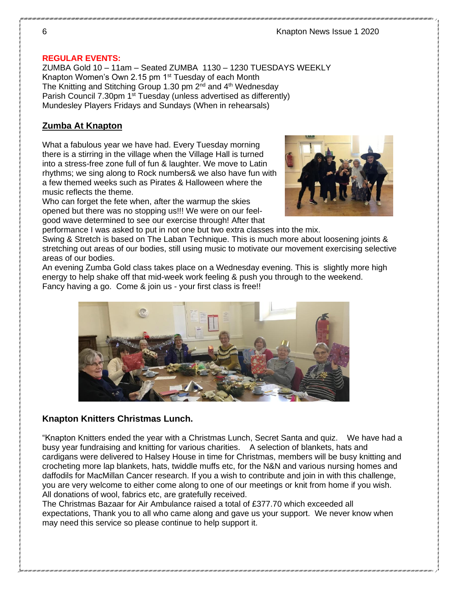### **REGULAR EVENTS:**

ZUMBA Gold 10 – 11am – Seated ZUMBA 1130 – 1230 TUESDAYS WEEKLY Knapton Women's Own 2.15 pm 1st Tuesday of each Month The Knitting and Stitching Group 1.30 pm  $2^{nd}$  and  $4^{th}$  Wednesday Parish Council 7.30pm 1<sup>st</sup> Tuesday (unless advertised as differently) Mundesley Players Fridays and Sundays (When in rehearsals)

### **Zumba At Knapton**

What a fabulous year we have had. Every Tuesday morning there is a stirring in the village when the Village Hall is turned into a stress-free zone full of fun & laughter. We move to Latin rhythms; we sing along to Rock numbers& we also have fun with a few themed weeks such as Pirates & Halloween where the music reflects the theme.

Who can forget the fete when, after the warmup the skies opened but there was no stopping us!!! We were on our feelgood wave determined to see our exercise through! After that



performance I was asked to put in not one but two extra classes into the mix.

Swing & Stretch is based on The Laban Technique. This is much more about loosening joints & stretching out areas of our bodies, still using music to motivate our movement exercising selective areas of our bodies.

An evening Zumba Gold class takes place on a Wednesday evening. This is slightly more high energy to help shake off that mid-week work feeling & push you through to the weekend. Fancy having a go. Come & join us - your first class is free!!



### **Knapton Knitters Christmas Lunch.**

"Knapton Knitters ended the year with a Christmas Lunch, Secret Santa and quiz. We have had a busy year fundraising and knitting for various charities. A selection of blankets, hats and cardigans were delivered to Halsey House in time for Christmas, members will be busy knitting and crocheting more lap blankets, hats, twiddle muffs etc, for the N&N and various nursing homes and daffodils for MacMillan Cancer research. If you a wish to contribute and join in with this challenge, you are very welcome to either come along to one of our meetings or knit from home if you wish. All donations of wool, fabrics etc, are gratefully received.

The Christmas Bazaar for Air Ambulance raised a total of £377.70 which exceeded all expectations, Thank you to all who came along and gave us your support. We never know when may need this service so please continue to help support it.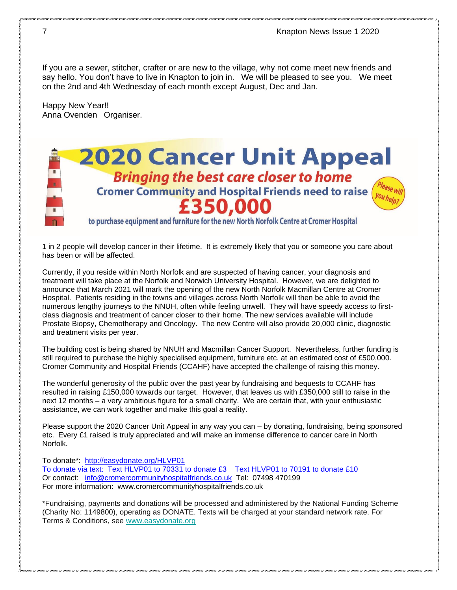If you are a sewer, stitcher, crafter or are new to the village, why not come meet new friends and say hello. You don't have to live in Knapton to join in. We will be pleased to see you. We meet on the 2nd and 4th Wednesday of each month except August, Dec and Jan.

Happy New Year!! Anna Ovenden Organiser.

### **2020 Cancer Unit Appeal Bringing the best care closer to home Cromer Community and Hospital Friends need to raise** £350,000

to purchase equipment and furniture for the new North Norfolk Centre at Cromer Hospital

1 in 2 people will develop cancer in their lifetime. It is extremely likely that you or someone you care about has been or will be affected.

Currently, if you reside within North Norfolk and are suspected of having cancer, your diagnosis and treatment will take place at the Norfolk and Norwich University Hospital. However, we are delighted to announce that March 2021 will mark the opening of the new North Norfolk Macmillan Centre at Cromer Hospital. Patients residing in the towns and villages across North Norfolk will then be able to avoid the numerous lengthy journeys to the NNUH, often while feeling unwell. They will have speedy access to firstclass diagnosis and treatment of cancer closer to their home. The new services available will include Prostate Biopsy, Chemotherapy and Oncology. The new Centre will also provide 20,000 clinic, diagnostic and treatment visits per year.

The building cost is being shared by NNUH and Macmillan Cancer Support. Nevertheless, further funding is still required to purchase the highly specialised equipment, furniture etc. at an estimated cost of £500,000. Cromer Community and Hospital Friends (CCAHF) have accepted the challenge of raising this money.

The wonderful generosity of the public over the past year by fundraising and bequests to CCAHF has resulted in raising £150,000 towards our target. However, that leaves us with £350,000 still to raise in the next 12 months – a very ambitious figure for a small charity. We are certain that, with your enthusiastic assistance, we can work together and make this goal a reality.

Please support the 2020 Cancer Unit Appeal in any way you can – by donating, fundraising, being sponsored etc. Every £1 raised is truly appreciated and will make an immense difference to cancer care in North Norfolk.

To donate\*: <http://easydonate.org/HLVP01>

To donate via text: Text HLVP01 to 70331 to donate £3 Text HLVP01 to 70191 to donate £10 Or contact: [info@cromercommunityhospitalfriends.co.uk](mailto:info@cromercommunityhospitalfriends.co.uk) Tel: 07498 470199 For more information: www.cromercommunityhospitalfriends.co.uk

\*Fundraising, payments and donations will be processed and administered by the National Funding Scheme (Charity No: 1149800), operating as DONATE. Texts will be charged at your standard network rate. For Terms & Conditions, see [www.easydonate.org](http://www.easydonate.org/)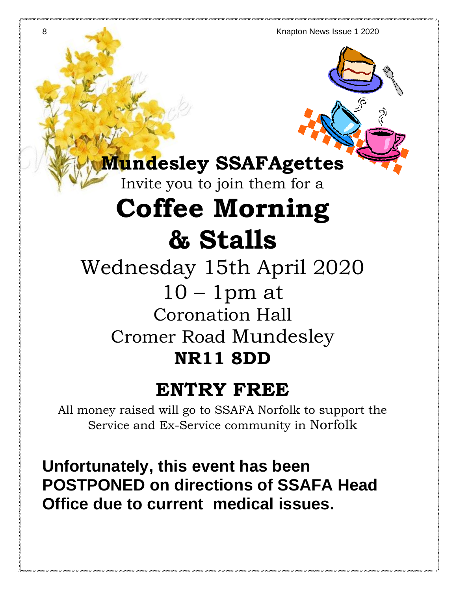8 Knapton News Issue 1 2020

### **Mundesley SSAFAgettes**

Invite you to join them for a

## **Coffee Morning & Stalls**

Wednesday 15th April 2020  $10 - 1$  pm at Coronation Hall Cromer Road Mundesley **NR11 8DD**

### **ENTRY FREE**

All money raised will go to SSAFA Norfolk to support the Service and Ex-Service community in Norfolk

**Unfortunately, this event has been POSTPONED on directions of SSAFA Head Office due to current medical issues.**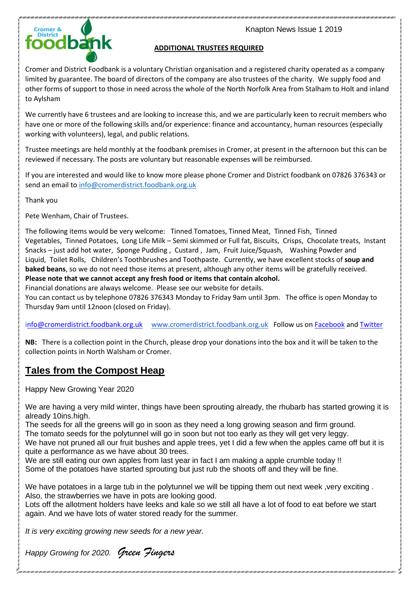



### **ADDITIONAL TRUSTEES REQUIRED**

Cromer and District Foodbank is a voluntary Christian organisation and a registered charity operated as a company limited by guarantee. The board of directors of the company are also trustees of the charity. We supply food and other forms of support to those in need across the whole of the North Norfolk Area from Stalham to Holt and inland to Aylsham

We currently have 6 trustees and are looking to increase this, and we are particularly keen to recruit members who have one or more of the following skills and/or experience: finance and accountancy, human resources (especially working with volunteers), legal, and public relations.

Trustee meetings are held monthly at the foodbank premises in Cromer, at present in the afternoon but this can be reviewed if necessary. The posts are voluntary but reasonable expenses will be reimbursed.

If you are interested and would like to know more please phone Cromer and District foodbank on 07826 376343 or send an email to [info@cromerdistrict.foodbank.org.uk](mailto:info@cromerdistrict.foodbank.org.uk)

Thank you

Pete Wenham, Chair of Trustees.

The following items would be very welcome: Tinned Tomatoes, Tinned Meat, Tinned Fish, Tinned Vegetables, Tinned Potatoes, Long Life Milk – Semi skimmed or Full fat, Biscuits, Crisps, Chocolate treats, Instant Snacks – just add hot water, Sponge Pudding , Custard , Jam, Fruit Juice/Squash, Washing Powder and Liquid, Toilet Rolls, Children's Toothbrushes and Toothpaste. Currently, we have excellent stocks of **soup and baked beans**, so we do not need those items at present, although any other items will be gratefully received. **Please note that we cannot accept any fresh food or items that contain alcohol.** 

Financial donations are always welcome. Please see our website for details.

You can contact us by telephone 07826 376343 Monday to Friday 9am until 3pm. The office is open Monday to Thursday 9am until 12noon (closed on Friday).

[info@cromerdistrict.foodbank.org.uk](mailto:info@cromerdistrict.foodbank.org.uk) [www.cromerdistrict.foodbank.org.uk](http://www.cromerdistrict.foodbank.org.uk/) Follow us on [Facebook](https://www.facebook.com/CromerFoodbankTrust/) and [Twitter](https://twitter.com/Cromerfoodbank)

**NB:** There is a collection point in the Church, please drop your donations into the box and it will be taken to the collection points in North Walsham or Cromer.

### **Tales from the Compost Heap**

Happy New Growing Year 2020

We are having a very mild winter, things have been sprouting already, the rhubarb has started growing it is already 10ins.high.

The seeds for all the greens will go in soon as they need a long growing season and firm ground.

The tomato seeds for the polytunnel will go in soon but not too early as they will get very leggy.

We have not pruned all our fruit bushes and apple trees, yet I did a few when the apples came off but it is quite a performance as we have about 30 trees.

We are still eating our own apples from last year in fact I am making a apple crumble today !!

Some of the potatoes have started sprouting but just rub the shoots off and they will be fine.

We have potatoes in a large tub in the polytunnel we will be tipping them out next week ,very exciting . Also, the strawberries we have in pots are looking good.

Lots off the allotment holders have leeks and kale so we still all have a lot of food to eat before we start again. And we have lots of water stored ready for the summer.

*It is very exciting growing new seeds for a new year.*

*Happy Growing for 2020. Green Fingers*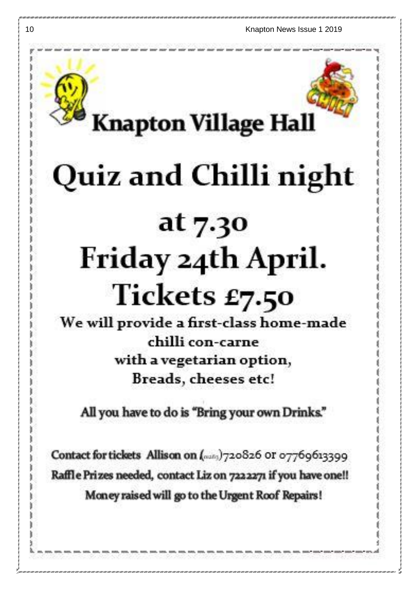

# Quiz and Chilli night

## at 7.30 Friday 24th April. Tickets £7.50

We will provide a first-class home-made chilli con-carne with a vegetarian option, Breads, cheeses etc!

All you have to do is "Bring your own Drinks."

Contact for tickets Allison on (many)720826 or 07769613399 Raffle Prizes needed, contact Liz on 7222271 if you have one!! Money raised will go to the Urgent Roof Repairs!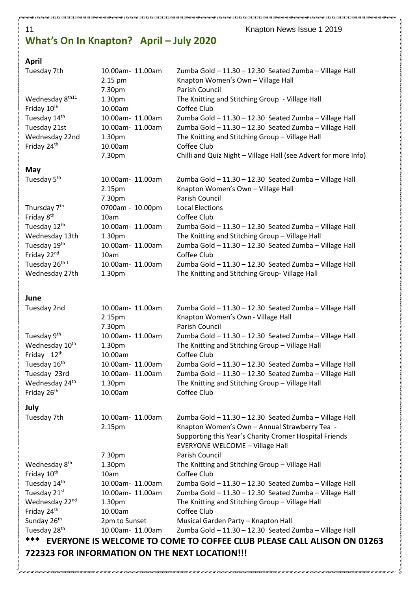### **What's On In Knapton? April – July 2020**

### 11 **Knapton News Issue 1 2019**

### **April**

| Tuesday 7th                                    | 10.00am- 11.00am<br>2.15 pm | Zumba Gold - 11.30 - 12.30 Seated Zumba - Village Hall<br>Knapton Women's Own - Village Hall |
|------------------------------------------------|-----------------------------|----------------------------------------------------------------------------------------------|
| Wednesday 8th11                                | 7.30pm<br>1.30pm            | Parish Council<br>The Knitting and Stitching Group - Village Hall                            |
| Friday 10 <sup>th</sup>                        | 10.00am                     | Coffee Club                                                                                  |
| Tuesday 14th                                   | 10.00am- 11.00am            | Zumba Gold - 11.30 - 12.30 Seated Zumba - Village Hall                                       |
| Tuesday 21st                                   | 10.00am- 11.00am            | Zumba Gold - 11.30 - 12.30 Seated Zumba - Village Hall                                       |
| Wednesday 22nd                                 | 1.30pm                      | The Knitting and Stitching Group - Village Hall                                              |
| Friday 24th                                    | 10.00am                     | Coffee Club                                                                                  |
|                                                | 7.30pm                      | Chilli and Quiz Night - Village Hall (see Advert for more Info)                              |
| May                                            |                             |                                                                                              |
| Tuesday 5 <sup>th</sup>                        | 10.00am- 11.00am            | Zumba Gold - 11.30 - 12.30 Seated Zumba - Village Hall                                       |
|                                                | 2.15pm                      | Knapton Women's Own - Village Hall                                                           |
|                                                | 7.30pm                      | Parish Council                                                                               |
| Thursday 7 <sup>th</sup>                       | 0700am - 10.00pm            | <b>Local Elections</b>                                                                       |
| Friday 8 <sup>th</sup>                         | 10am                        | Coffee Club                                                                                  |
| Tuesday 12th                                   | 10.00am- 11.00am            | Zumba Gold - 11.30 - 12.30 Seated Zumba - Village Hall                                       |
| Wednesday 13th                                 | 1.30pm                      | The Knitting and Stitching Group - Village Hall                                              |
| Tuesday 19th                                   | 10.00am- 11.00am            | Zumba Gold - 11.30 - 12.30 Seated Zumba - Village Hall                                       |
| Friday 22nd                                    | 10am                        | Coffee Club                                                                                  |
| Tuesday 26 <sup>th t</sup>                     | 10.00am- 11.00am            | Zumba Gold - 11.30 - 12.30 Seated Zumba - Village Hall                                       |
| Wednesday 27th                                 | 1.30pm                      | The Knitting and Stitching Group- Village Hall                                               |
|                                                |                             |                                                                                              |
| June                                           |                             |                                                                                              |
| Tuesday 2nd                                    | 10.00am- 11.00am            | Zumba Gold - 11.30 - 12.30 Seated Zumba - Village Hall                                       |
|                                                | 2.15pm                      | Knapton Women's Own - Village Hall                                                           |
|                                                | 7.30pm                      | Parish Council                                                                               |
| Tuesday 9 <sup>th</sup>                        | 10.00am- 11.00am            | Zumba Gold - 11.30 - 12.30 Seated Zumba - Village Hall                                       |
| Wednesday 10 <sup>th</sup>                     | 1.30pm                      | The Knitting and Stitching Group - Village Hall                                              |
| Friday 12th                                    | 10.00am                     | Coffee Club                                                                                  |
| Tuesday 16th                                   | 10.00am- 11.00am            | Zumba Gold - 11.30 - 12.30 Seated Zumba - Village Hall                                       |
| Tuesday 23rd                                   | 10.00am- 11.00am            | Zumba Gold - 11.30 - 12.30 Seated Zumba - Village Hall                                       |
| Wednesday 24th                                 | 1.30pm                      | The Knitting and Stitching Group - Village Hall                                              |
| Friday 26th                                    | 10.00am                     | Coffee Club                                                                                  |
| July                                           |                             |                                                                                              |
| Tuesday 7th                                    | 10.00am- 11.00am            | Zumba Gold - 11.30 - 12.30 Seated Zumba - Village Hall                                       |
|                                                | 2.15pm                      | Knapton Women's Own - Annual Strawberry Tea -                                                |
|                                                |                             | Supporting this Year's Charity Cromer Hospital Friends                                       |
|                                                |                             | <b>EVERYONE WELCOME - Village Hall</b>                                                       |
|                                                | 7.30pm                      | Parish Council                                                                               |
| Wednesday 8 <sup>th</sup>                      | 1.30pm                      | The Knitting and Stitching Group - Village Hall                                              |
| Friday 10th                                    | 10am                        | Coffee Club                                                                                  |
| Tuesday 14th                                   | 10.00am- 11.00am            | Zumba Gold - 11.30 - 12.30 Seated Zumba - Village Hall                                       |
| Tuesday 21st                                   | 10.00am- 11.00am            | Zumba Gold - 11.30 - 12.30 Seated Zumba - Village Hall                                       |
| Wednesday 22nd                                 | 1.30pm                      | The Knitting and Stitching Group - Village Hall<br>Coffee Club                               |
| Friday 24th<br>Sunday 26 <sup>th</sup>         | 10.00am<br>2pm to Sunset    | Musical Garden Party - Knapton Hall                                                          |
| Tuesday 28 <sup>th</sup>                       | 10.00am- 11.00am            | Zumba Gold - 11.30 - 12.30 Seated Zumba - Village Hall                                       |
| ***                                            |                             | EVERYONE IS WELCOME TO COME TO COFFEE CLUB PLEASE CALL ALISON ON 01263                       |
|                                                |                             |                                                                                              |
| 722323 FOR INFORMATION ON THE NEXT LOCATION!!! |                             |                                                                                              |